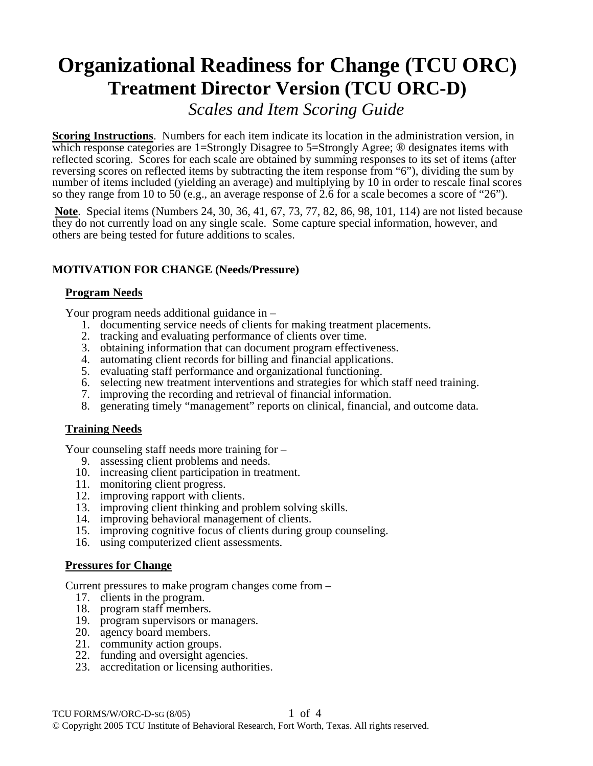# **Organizational Readiness for Change (TCU ORC) Treatment Director Version (TCU ORC-D)**

*Scales and Item Scoring Guide*

**Scoring Instructions**. Numbers for each item indicate its location in the administration version, in which response categories are 1=Strongly Disagree to 5=Strongly Agree; <sup>®</sup> designates items with reflected scoring. Scores for each scale are obtained by summing responses to its set of items (after reversing scores on reflected items by subtracting the item response from "6"), dividing the sum by number of items included (yielding an average) and multiplying by 10 in order to rescale final scores so they range from 10 to 50 (e.g., an average response of 2.6 for a scale becomes a score of "26").

**Note**. Special items (Numbers 24, 30, 36, 41, 67, 73, 77, 82, 86, 98, 101, 114) are not listed because they do not currently load on any single scale. Some capture special information, however, and others are being tested for future additions to scales.

# **MOTIVATION FOR CHANGE (Needs/Pressure)**

# **Program Needs**

Your program needs additional guidance in –

- 1. documenting service needs of clients for making treatment placements.
- 2. tracking and evaluating performance of clients over time.
- 3. obtaining information that can document program effectiveness.
- 4. automating client records for billing and financial applications.
- 5. evaluating staff performance and organizational functioning.
- 6. selecting new treatment interventions and strategies for which staff need training.
- 7. improving the recording and retrieval of financial information.
- 8. generating timely "management" reports on clinical, financial, and outcome data.

## **Training Needs**

Your counseling staff needs more training for –

- 9. assessing client problems and needs.
- 10. increasing client participation in treatment.
- 11. monitoring client progress.
- 12. improving rapport with clients.
- 13. improving client thinking and problem solving skills.
- 14. improving behavioral management of clients.
- 15. improving cognitive focus of clients during group counseling.
- 16. using computerized client assessments.

## **Pressures for Change**

Current pressures to make program changes come from –

- 17. clients in the program.
- 18. program staff members.
- 19. program supervisors or managers.
- 20. agency board members.
- 21. community action groups.
- 22. funding and oversight agencies.
- 23. accreditation or licensing authorities.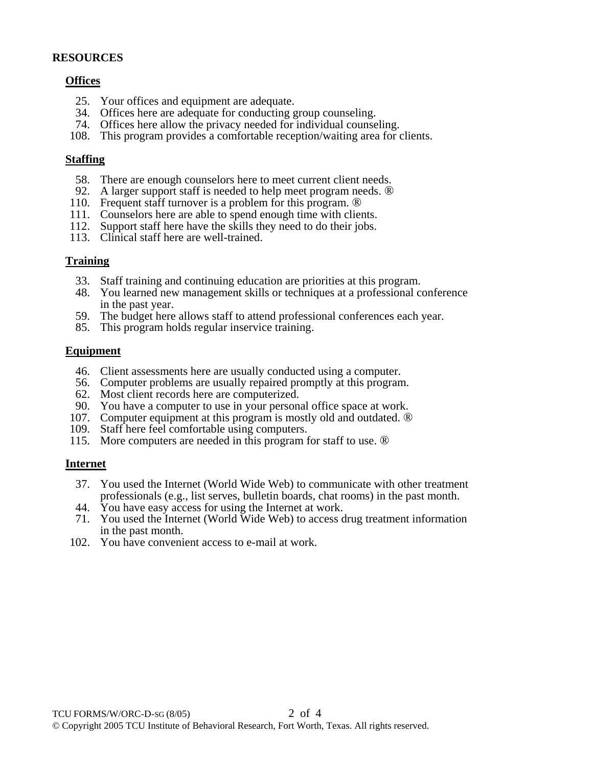#### **RESOURCES**

#### **Offices**

- 25. Your offices and equipment are adequate.
- 34. Offices here are adequate for conducting group counseling.
- 74. Offices here allow the privacy needed for individual counseling.
- 108. This program provides a comfortable reception/waiting area for clients.

#### **Staffing**

- 58. There are enough counselors here to meet current client needs.
- 92. A larger support staff is needed to help meet program needs. ®
- 110. Frequent staff turnover is a problem for this program. ®
- 111. Counselors here are able to spend enough time with clients.
- 112. Support staff here have the skills they need to do their jobs.
- 113. Clinical staff here are well-trained.

#### **Training**

- 33. Staff training and continuing education are priorities at this program.
- 48. You learned new management skills or techniques at a professional conference in the past year.
- 59. The budget here allows staff to attend professional conferences each year.
- 85. This program holds regular inservice training.

#### **Equipment**

- 46. Client assessments here are usually conducted using a computer.
- 56. Computer problems are usually repaired promptly at this program.
- 62. Most client records here are computerized.
- 90. You have a computer to use in your personal office space at work.
- 107. Computer equipment at this program is mostly old and outdated. ®
- 109. Staff here feel comfortable using computers.
- 115. More computers are needed in this program for staff to use. ®

## **Internet**

- 37. You used the Internet (World Wide Web) to communicate with other treatment professionals (e.g., list serves, bulletin boards, chat rooms) in the past month.
- 44. You have easy access for using the Internet at work.
- 71. You used the Internet (World Wide Web) to access drug treatment information in the past month.
- 102. You have convenient access to e-mail at work.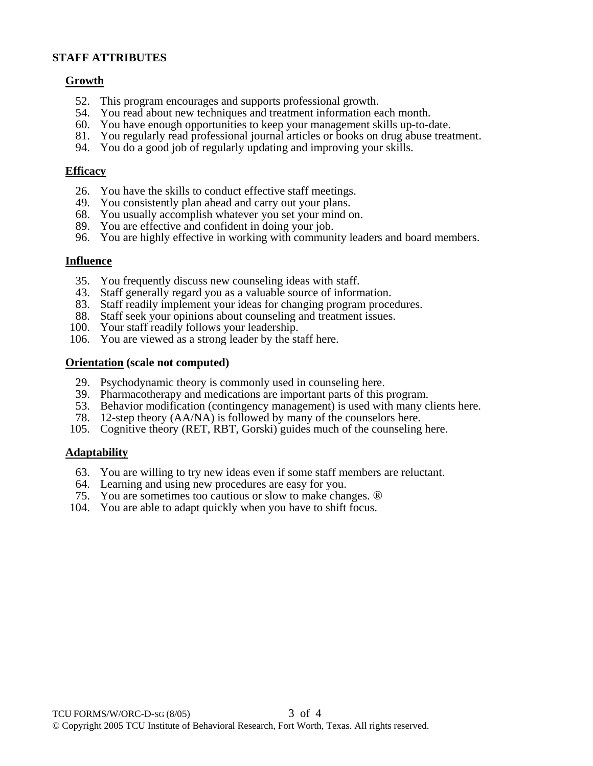## **STAFF ATTRIBUTES**

## **Growth**

- 52. This program encourages and supports professional growth.
- 54. You read about new techniques and treatment information each month.
- 60. You have enough opportunities to keep your management skills up-to-date.
- 81. You regularly read professional journal articles or books on drug abuse treatment.
- 94. You do a good job of regularly updating and improving your skills.

#### **Efficacy**

- 26. You have the skills to conduct effective staff meetings.
- 49. You consistently plan ahead and carry out your plans.
- 68. You usually accomplish whatever you set your mind on.
- 89. You are effective and confident in doing your job.
- 96. You are highly effective in working with community leaders and board members.

#### **Influence**

- 35. You frequently discuss new counseling ideas with staff.
- 43. Staff generally regard you as a valuable source of information.
- 83. Staff readily implement your ideas for changing program procedures.
- 88. Staff seek your opinions about counseling and treatment issues.
- 100. Your staff readily follows your leadership.
- 106. You are viewed as a strong leader by the staff here.

#### **Orientation (scale not computed)**

- 29. Psychodynamic theory is commonly used in counseling here.
- 39. Pharmacotherapy and medications are important parts of this program.
- 53. Behavior modification (contingency management) is used with many clients here.
- 78. 12-step theory (AA/NA) is followed by many of the counselors here.
- 105. Cognitive theory (RET, RBT, Gorski) guides much of the counseling here.

## **Adaptability**

- 63. You are willing to try new ideas even if some staff members are reluctant.
- 64. Learning and using new procedures are easy for you.
- 75. You are sometimes too cautious or slow to make changes. ®
- 104. You are able to adapt quickly when you have to shift focus.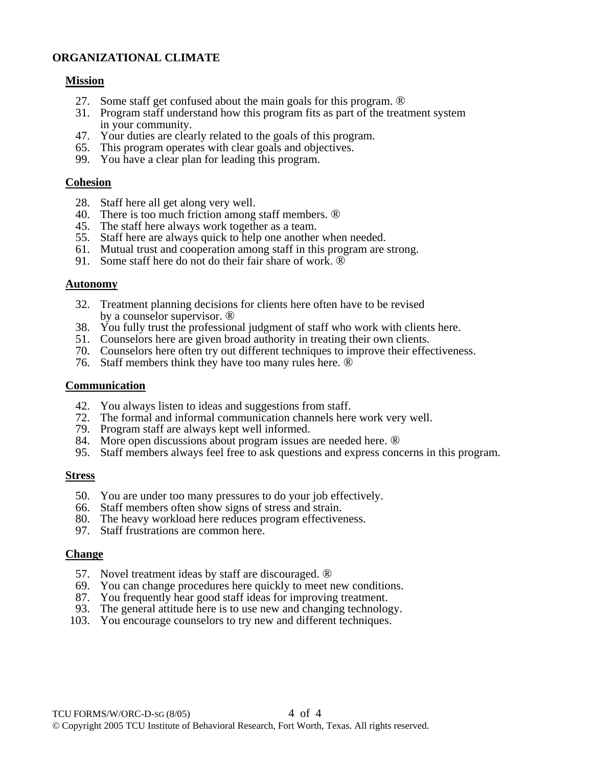# **ORGANIZATIONAL CLIMATE**

#### **Mission**

- 27. Some staff get confused about the main goals for this program. ®
- 31. Program staff understand how this program fits as part of the treatment system in your community.
- 47. Your duties are clearly related to the goals of this program.
- 65. This program operates with clear goals and objectives.
- 99. You have a clear plan for leading this program.

#### **Cohesion**

- 28. Staff here all get along very well.
- 40. There is too much friction among staff members. ®
- 45. The staff here always work together as a team.
- 55. Staff here are always quick to help one another when needed.
- 61. Mutual trust and cooperation among staff in this program are strong.
- 91. Some staff here do not do their fair share of work. ®

#### **Autonomy**

- 32. Treatment planning decisions for clients here often have to be revised by a counselor supervisor. ®
- 38. You fully trust the professional judgment of staff who work with clients here.
- 51. Counselors here are given broad authority in treating their own clients.
- 70. Counselors here often try out different techniques to improve their effectiveness.
- 76. Staff members think they have too many rules here. ®

#### **Communication**

- 42. You always listen to ideas and suggestions from staff.
- 72. The formal and informal communication channels here work very well.
- 79. Program staff are always kept well informed.
- 84. More open discussions about program issues are needed here. ®
- 95. Staff members always feel free to ask questions and express concerns in this program.

## **Stress**

- 50. You are under too many pressures to do your job effectively.
- 66. Staff members often show signs of stress and strain.
- 80. The heavy workload here reduces program effectiveness.
- 97. Staff frustrations are common here.

## **Change**

- 57. Novel treatment ideas by staff are discouraged. ®
- 69. You can change procedures here quickly to meet new conditions.
- 87. You frequently hear good staff ideas for improving treatment.
- 93. The general attitude here is to use new and changing technology.
- 103. You encourage counselors to try new and different techniques.